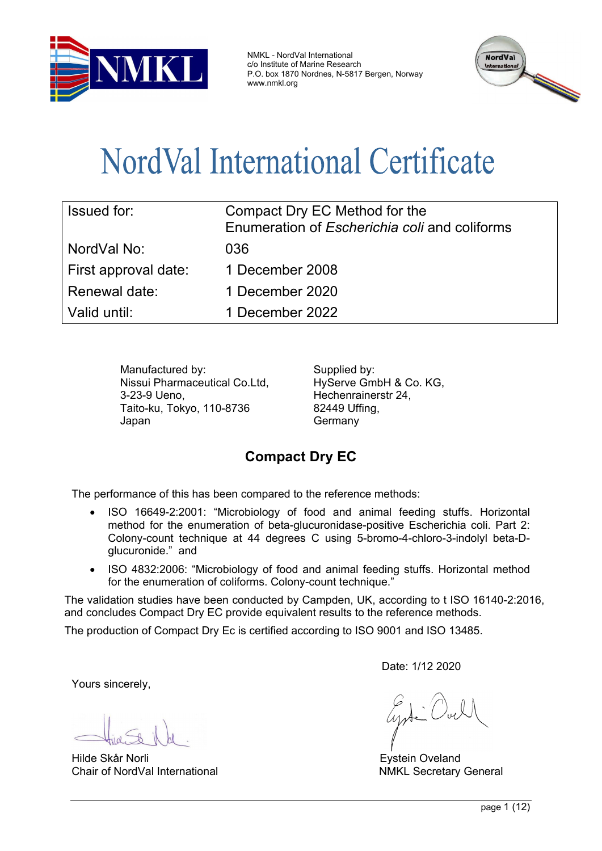

NMKL - NordVal International c/o Institute of Marine Research P.O. box 1870 Nordnes, N-5817 Bergen, Norway www.nmkl.org



# NordVal International Certificate

| <b>Issued for:</b>   | Compact Dry EC Method for the<br>Enumeration of <i>Escherichia coli</i> and coliforms |
|----------------------|---------------------------------------------------------------------------------------|
| l NordVal No:        | 036                                                                                   |
| First approval date: | 1 December 2008                                                                       |
| Renewal date:        | 1 December 2020                                                                       |
| Valid until:         | 1 December 2022                                                                       |

Manufactured by: Supplied by: Nissui Pharmaceutical Co.Ltd, 3-23-9 Ueno, Taito-ku, Tokyo, 110-8736 Japan

HyServe GmbH & Co. KG, Hechenrainerstr 24, 82449 Uffing, **Germany** 

# **Compact Dry EC**

The performance of this has been compared to the reference methods:

- ISO 16649-2:2001: "Microbiology of food and animal feeding stuffs. Horizontal method for the enumeration of beta-glucuronidase-positive Escherichia coli. Part 2: Colony-count technique at 44 degrees C using 5-bromo-4-chloro-3-indolyl beta-Dglucuronide." and
- ISO 4832:2006: "Microbiology of food and animal feeding stuffs. Horizontal method for the enumeration of coliforms. Colony-count technique."

The validation studies have been conducted by Campden, UK, according to t ISO 16140-2:2016, and concludes Compact Dry EC provide equivalent results to the reference methods.

The production of Compact Dry Ec is certified according to ISO 9001 and ISO 13485.

Yours sincerely,

Hilde Skår Norli Eystein Oveland Chair of NordVal International NMKL Secretary General

Date: 1/12 2020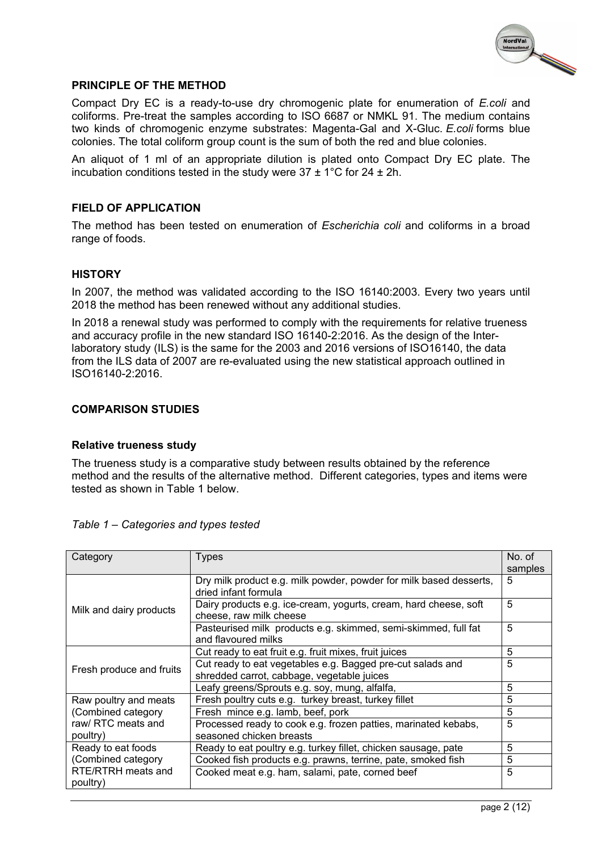

#### **PRINCIPLE OF THE METHOD**

Compact Dry EC is a ready-to-use dry chromogenic plate for enumeration of *E.coli* and coliforms. Pre-treat the samples according to ISO 6687 or NMKL 91. The medium contains two kinds of chromogenic enzyme substrates: Magenta-Gal and X-Gluc. *E.coli* forms blue colonies. The total coliform group count is the sum of both the red and blue colonies.

An aliquot of 1 ml of an appropriate dilution is plated onto Compact Dry EC plate. The incubation conditions tested in the study were  $37 \pm 1^{\circ}$ C for  $24 \pm 2$ h.

#### **FIELD OF APPLICATION**

The method has been tested on enumeration of *Escherichia coli* and coliforms in a broad range of foods.

#### **HISTORY**

In 2007, the method was validated according to the ISO 16140:2003. Every two years until 2018 the method has been renewed without any additional studies.

In 2018 a renewal study was performed to comply with the requirements for relative trueness and accuracy profile in the new standard ISO 16140-2:2016. As the design of the Interlaboratory study (ILS) is the same for the 2003 and 2016 versions of ISO16140, the data from the ILS data of 2007 are re-evaluated using the new statistical approach outlined in ISO16140-2:2016.

#### **COMPARISON STUDIES**

#### **Relative trueness study**

The trueness study is a comparative study between results obtained by the reference method and the results of the alternative method. Different categories, types and items were tested as shown in Table 1 below.

| Category                 | Types                                                              | No. of  |  |
|--------------------------|--------------------------------------------------------------------|---------|--|
|                          |                                                                    | samples |  |
|                          | Dry milk product e.g. milk powder, powder for milk based desserts, |         |  |
|                          | dried infant formula                                               |         |  |
| Milk and dairy products  | Dairy products e.g. ice-cream, yogurts, cream, hard cheese, soft   | 5       |  |
|                          | cheese, raw milk cheese                                            |         |  |
|                          | Pasteurised milk products e.g. skimmed, semi-skimmed, full fat     | 5       |  |
|                          | and flavoured milks                                                |         |  |
| Fresh produce and fruits | Cut ready to eat fruit e.g. fruit mixes, fruit juices              |         |  |
|                          | Cut ready to eat vegetables e.g. Bagged pre-cut salads and         | 5       |  |
|                          | shredded carrot, cabbage, vegetable juices                         |         |  |
|                          | Leafy greens/Sprouts e.g. soy, mung, alfalfa,                      | 5       |  |
| Raw poultry and meats    | Fresh poultry cuts e.g. turkey breast, turkey fillet               | 5       |  |
| (Combined category       | Fresh mince e.g. lamb, beef, pork                                  | 5       |  |
| raw/ RTC meats and       | Processed ready to cook e.g. frozen patties, marinated kebabs,     |         |  |
| poultry)                 | seasoned chicken breasts                                           |         |  |
| Ready to eat foods       | Ready to eat poultry e.g. turkey fillet, chicken sausage, pate     | 5       |  |
| (Combined category       | Cooked fish products e.g. prawns, terrine, pate, smoked fish       | 5       |  |
| RTE/RTRH meats and       | Cooked meat e.g. ham, salami, pate, corned beef                    | 5       |  |
| poultry)                 |                                                                    |         |  |

#### *Table 1 – Categories and types tested*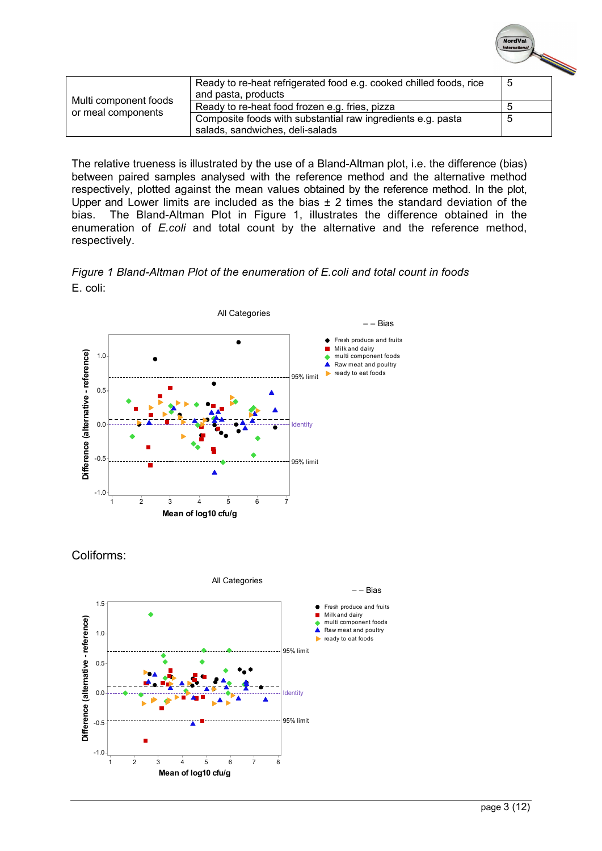| Multi component foods<br>or meal components | Ready to re-heat refrigerated food e.g. cooked chilled foods, rice<br>and pasta, products      | G |  |
|---------------------------------------------|------------------------------------------------------------------------------------------------|---|--|
|                                             | Ready to re-heat food frozen e.g. fries, pizza                                                 |   |  |
|                                             | Composite foods with substantial raw ingredients e.g. pasta<br>salads, sandwiches, deli-salads |   |  |

The relative trueness is illustrated by the use of a Bland-Altman plot, i.e. the difference (bias) between paired samples analysed with the reference method and the alternative method respectively, plotted against the mean values obtained by the reference method. In the plot, Upper and Lower limits are included as the bias  $\pm$  2 times the standard deviation of the bias. The Bland-Altman Plot in Figure 1, illustrates the difference obtained in the enumeration of *E.coli* and total count by the alternative and the reference method, respectively.





Coliforms:



NordVal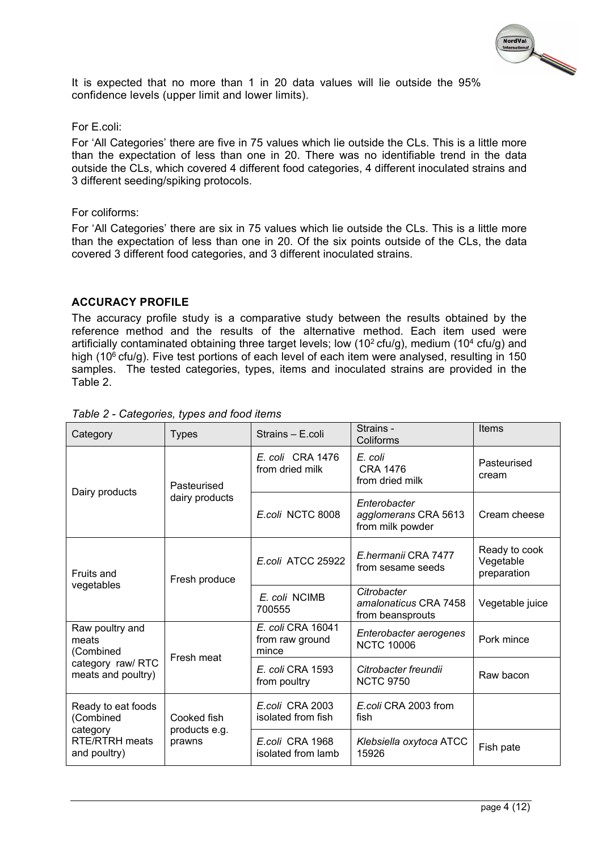

It is expected that no more than 1 in 20 data values will lie outside the 95% confidence levels (upper limit and lower limits).

#### For E.coli:

For 'All Categories' there are five in 75 values which lie outside the CLs. This is a little more than the expectation of less than one in 20. There was no identifiable trend in the data outside the CLs, which covered 4 different food categories, 4 different inoculated strains and 3 different seeding/spiking protocols.

#### For coliforms:

For 'All Categories' there are six in 75 values which lie outside the CLs. This is a little more than the expectation of less than one in 20. Of the six points outside of the CLs, the data covered 3 different food categories, and 3 different inoculated strains.

#### **ACCURACY PROFILE**

The accuracy profile study is a comparative study between the results obtained by the reference method and the results of the alternative method. Each item used were artificially contaminated obtaining three target levels; low (10<sup>2</sup> cfu/g), medium (10<sup>4</sup> cfu/g) and high (10 $6$  cfu/g). Five test portions of each level of each item were analysed, resulting in 150 samples. The tested categories, types, items and inoculated strains are provided in the Table 2.

| Category                                                                             | <b>Types</b>                 | Strains - E.coli                              | Strains -<br>Coliforms                                   | <b>Items</b>                              |
|--------------------------------------------------------------------------------------|------------------------------|-----------------------------------------------|----------------------------------------------------------|-------------------------------------------|
| Dairy products                                                                       | Pasteurised                  | E. coli CRA 1476<br>from dried milk           | E. coli<br><b>CRA 1476</b><br>from dried milk            | Pasteurised<br>cream                      |
|                                                                                      | dairy products               | E.coli NCTC 8008                              | Enterobacter<br>agglomerans CRA 5613<br>from milk powder | Cream cheese                              |
| Fruits and<br>vegetables                                                             | Fresh produce                | E.coli ATCC 25922                             | E.hermanii CRA 7477<br>from sesame seeds                 | Ready to cook<br>Vegetable<br>preparation |
|                                                                                      |                              | E. coli NCIMB<br>700555                       | Citrobacter<br>amalonaticus CRA 7458<br>from beansprouts | Vegetable juice                           |
| Raw poultry and<br>meats<br>(Combined                                                | Fresh meat                   | E. coli CRA 16041<br>from raw ground<br>mince | Enterobacter aerogenes<br><b>NCTC 10006</b>              | Pork mince                                |
| category raw/RTC<br>meats and poultry)                                               |                              | E. coli CRA 1593<br>from poultry              | Citrobacter freundii<br><b>NCTC 9750</b>                 | Raw bacon                                 |
| Ready to eat foods<br>(Combined<br>category<br><b>RTE/RTRH</b> meats<br>and poultry) | Cooked fish<br>products e.g. | E.coli CRA 2003<br>isolated from fish         | E.coli CRA 2003 from<br>fish                             |                                           |
|                                                                                      | prawns                       | E.coli CRA 1968<br>isolated from lamb         | Klebsiella oxytoca ATCC<br>15926                         | Fish pate                                 |

#### *Table 2 - Categories, types and food items*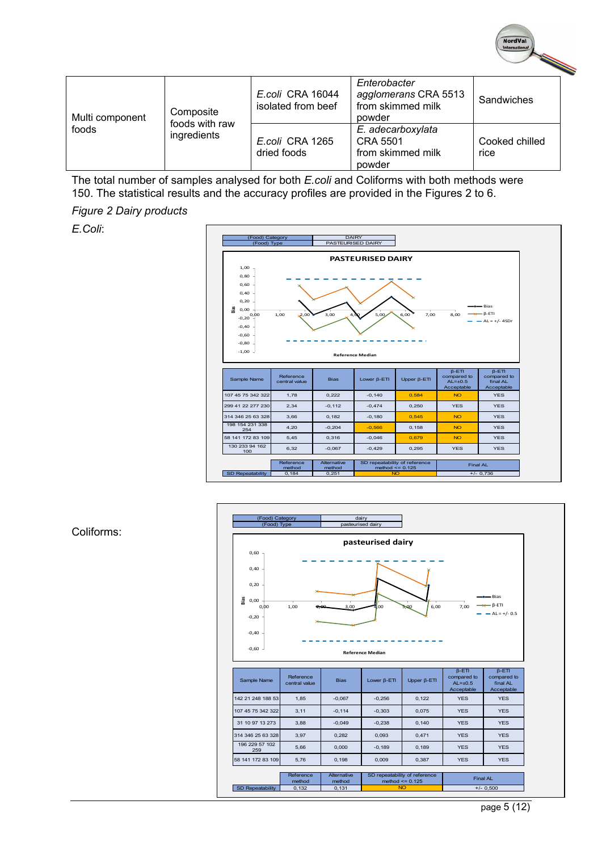| Multi component<br>foods | Composite<br>foods with raw<br>ingredients | E.coli CRA 16044<br>isolated from beef | Enterobacter<br>agglomerans CRA 5513<br>from skimmed milk<br>powder | Sandwiches             |  |
|--------------------------|--------------------------------------------|----------------------------------------|---------------------------------------------------------------------|------------------------|--|
|                          |                                            | E.coli CRA 1265<br>dried foods         | E. adecarboxylata<br><b>CRA 5501</b><br>from skimmed milk<br>powder | Cooked chilled<br>rice |  |

The total number of samples analysed for both *E.coli* and Coliforms with both methods were 150. The statistical results and the accuracy profiles are provided in the Figures 2 to 6.

#### *Figure 2 Dairy products*

*E.Coli*:





#### Coliforms:

NordVal International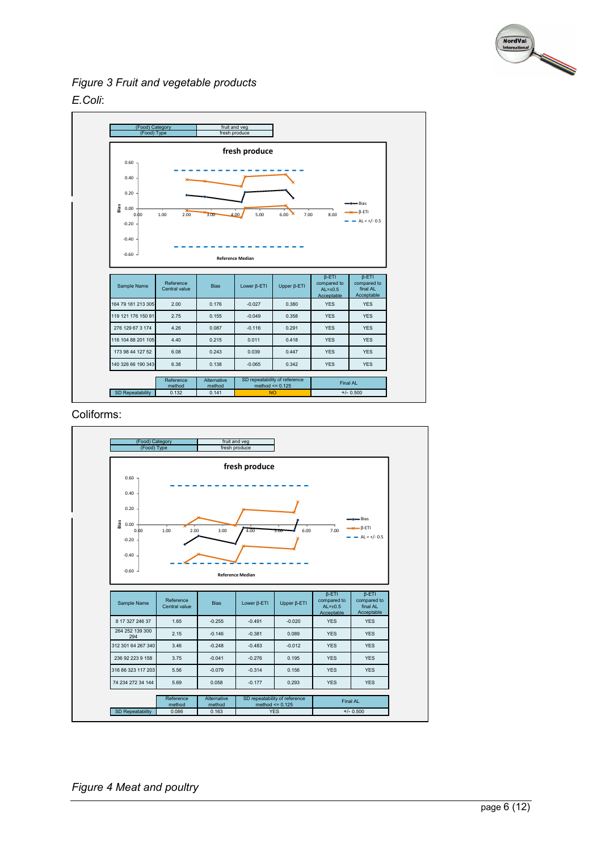

*Figure 3 Fruit and vegetable products E.Coli*:



Coliforms:

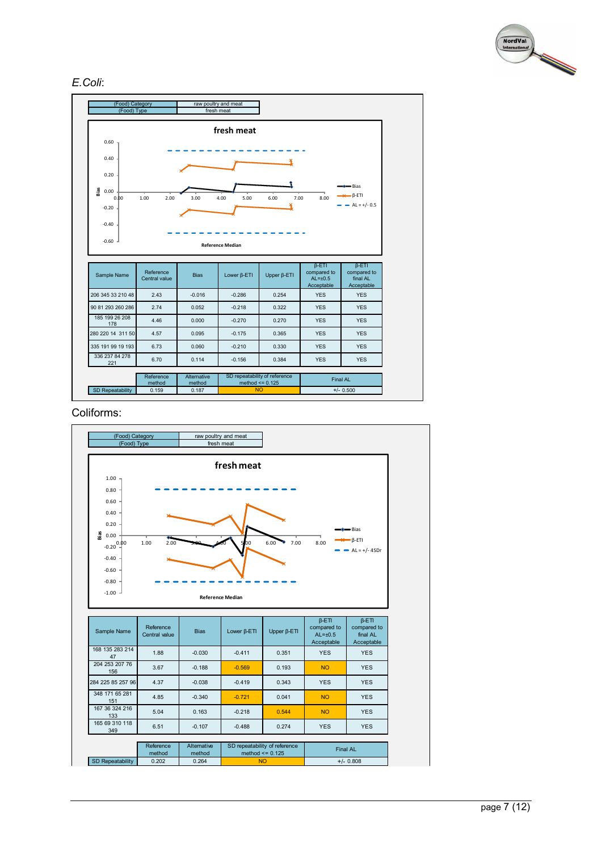

#### *E.Coli*:



#### Coliforms:

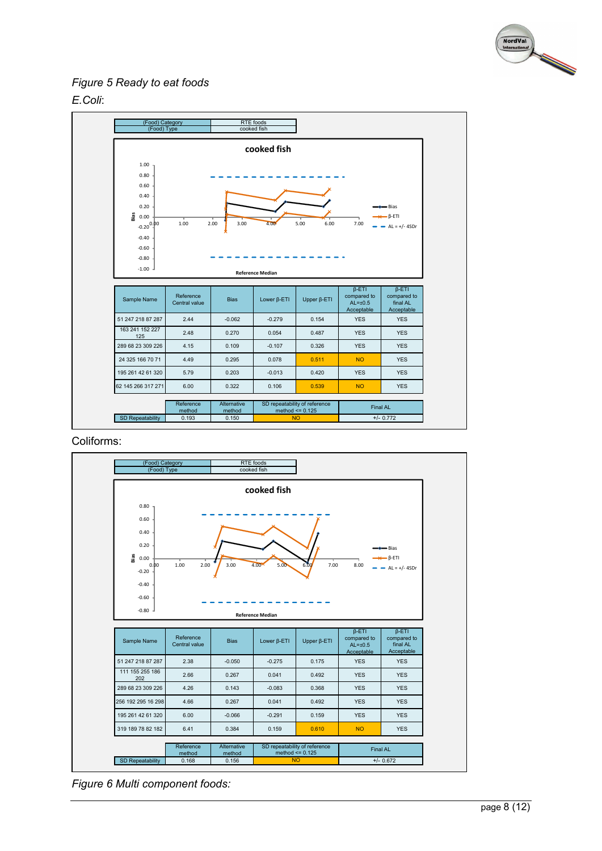

# *Figure 5 Ready to eat foods*





Coliforms:



*Figure 6 Multi component foods:*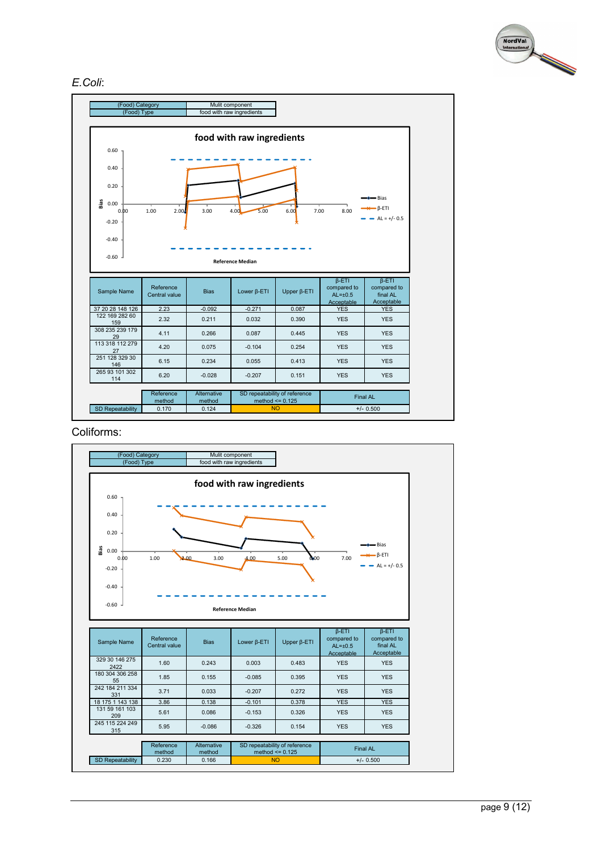

#### *E.Coli*:



Coliforms:

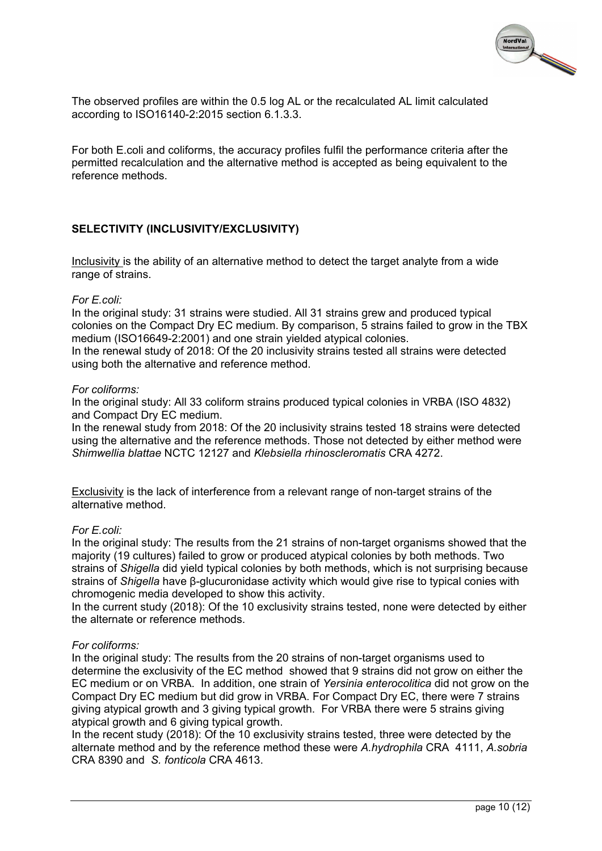

The observed profiles are within the 0.5 log AL or the recalculated AL limit calculated according to ISO16140-2:2015 section 6.1.3.3.

For both E.coli and coliforms, the accuracy profiles fulfil the performance criteria after the permitted recalculation and the alternative method is accepted as being equivalent to the reference methods.

## **SELECTIVITY (INCLUSIVITY/EXCLUSIVITY)**

Inclusivity is the ability of an alternative method to detect the target analyte from a wide range of strains.

#### *For E.coli:*

In the original study: 31 strains were studied. All 31 strains grew and produced typical colonies on the Compact Dry EC medium. By comparison, 5 strains failed to grow in the TBX medium (ISO16649-2:2001) and one strain yielded atypical colonies.

In the renewal study of 2018: Of the 20 inclusivity strains tested all strains were detected using both the alternative and reference method.

#### *For coliforms:*

In the original study: All 33 coliform strains produced typical colonies in VRBA (ISO 4832) and Compact Dry EC medium.

In the renewal study from 2018: Of the 20 inclusivity strains tested 18 strains were detected using the alternative and the reference methods. Those not detected by either method were *Shimwellia blattae* NCTC 12127 and *Klebsiella rhinoscleromatis* CRA 4272.

Exclusivity is the lack of interference from a relevant range of non-target strains of the alternative method.

#### *For E.coli:*

In the original study: The results from the 21 strains of non-target organisms showed that the majority (19 cultures) failed to grow or produced atypical colonies by both methods. Two strains of *Shigella* did yield typical colonies by both methods, which is not surprising because strains of *Shigella* have β-glucuronidase activity which would give rise to typical conies with chromogenic media developed to show this activity.

In the current study (2018): Of the 10 exclusivity strains tested, none were detected by either the alternate or reference methods.

#### *For coliforms:*

In the original study: The results from the 20 strains of non-target organisms used to determine the exclusivity of the EC method showed that 9 strains did not grow on either the EC medium or on VRBA. In addition, one strain of *Yersinia enterocolitica* did not grow on the Compact Dry EC medium but did grow in VRBA. For Compact Dry EC, there were 7 strains giving atypical growth and 3 giving typical growth. For VRBA there were 5 strains giving atypical growth and 6 giving typical growth.

In the recent study (2018): Of the 10 exclusivity strains tested, three were detected by the alternate method and by the reference method these were *A.hydrophila* CRA 4111, *A.sobria* CRA 8390 and *S. fonticola* CRA 4613.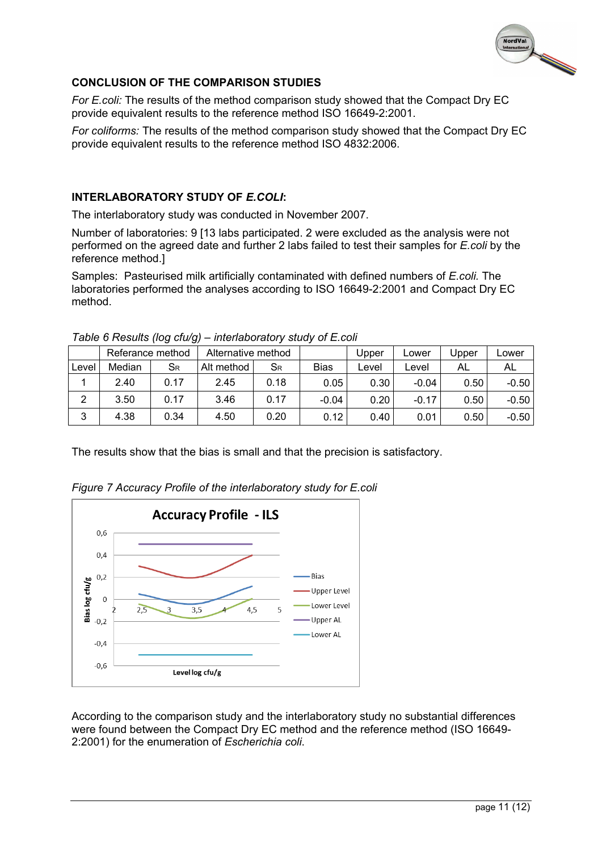

## **CONCLUSION OF THE COMPARISON STUDIES**

*For E.coli:* The results of the method comparison study showed that the Compact Dry EC provide equivalent results to the reference method ISO 16649-2:2001.

*For coliforms:* The results of the method comparison study showed that the Compact Dry EC provide equivalent results to the reference method ISO 4832:2006.

#### **INTERLABORATORY STUDY OF** *E.COLI***:**

The interlaboratory study was conducted in November 2007.

Number of laboratories: 9 [13 labs participated. 2 were excluded as the analysis were not performed on the agreed date and further 2 labs failed to test their samples for *E.coli* by the reference method.]

Samples: Pasteurised milk artificially contaminated with defined numbers of *E.coli.* The laboratories performed the analyses according to ISO 16649-2:2001 and Compact Dry EC method.

|       | Referance method |         | Alternative method |                  |             | Upper | ∟ower   | Jpper | Lower   |
|-------|------------------|---------|--------------------|------------------|-------------|-------|---------|-------|---------|
| Level | Median           | $S_{R}$ | Alt method         | $S_{\mathsf{R}}$ | <b>Bias</b> | ∟evel | ∟evel   | AL    | AL      |
|       | 2.40             | 0.17    | 2.45               | 0.18             | 0.05        | 0.30  | $-0.04$ | 0.50  | $-0.50$ |
| 2     | 3.50             | 0.17    | 3.46               | 0.17             | $-0.04$     | 0.20  | $-0.17$ | 0.50  | $-0.50$ |
| 3     | 4.38             | 0.34    | 4.50               | 0.20             | 0.12        | 0.40  | 0.01    | 0.50  | $-0.50$ |

*Table 6 Results (log cfu/g) – interlaboratory study of E.coli*

The results show that the bias is small and that the precision is satisfactory.



*Figure 7 Accuracy Profile of the interlaboratory study for E.coli*

According to the comparison study and the interlaboratory study no substantial differences were found between the Compact Dry EC method and the reference method (ISO 16649- 2:2001) for the enumeration of *Escherichia coli*.